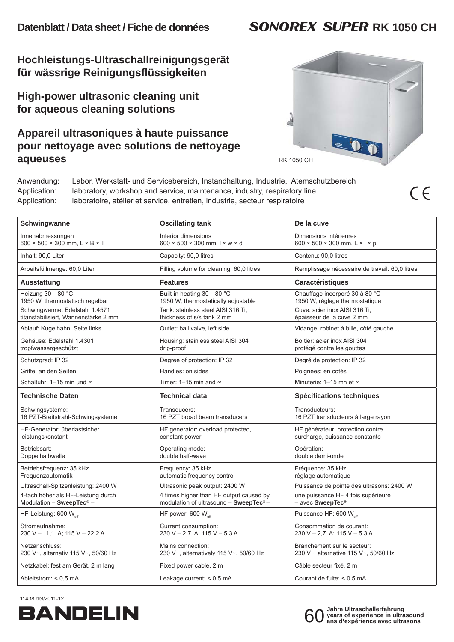## **Hochleistungs-Ultraschallreinigungsgerät für wässrige Reinigungsfl üssigkeiten**

**High-power ultrasonic cleaning unit for aqueous cleaning solutions**

## **Appareil ultrasoniques à haute puissance pour nettoyage avec solutions de nettoyage aqueuses**



 $C \in$ 

Anwendung: Labor, Werkstatt- und Servicebereich, Instandhaltung, Industrie, Atemschutzbereich Application: laboratory, workshop and service, maintenance, industry, respiratory line Application: laboratoire, atélier et service, entretien, industrie, secteur respiratoire

| Schwingwanne                                                                                                      | <b>Oscillating tank</b>                                                                                                         | De la cuve                                                                                                      |
|-------------------------------------------------------------------------------------------------------------------|---------------------------------------------------------------------------------------------------------------------------------|-----------------------------------------------------------------------------------------------------------------|
| Innenabmessungen<br>600 $\times$ 500 $\times$ 300 mm, L $\times$ B $\times$ T                                     | Interior dimensions<br>$600 \times 500 \times 300$ mm, $1 \times w \times d$                                                    | Dimensions intérieures<br>600 $\times$ 500 $\times$ 300 mm, L $\times$ I $\times$ p                             |
| Inhalt: 90,0 Liter                                                                                                | Capacity: 90,0 litres                                                                                                           | Contenu: 90,0 litres                                                                                            |
| Arbeitsfüllmenge: 60,0 Liter                                                                                      | Filling volume for cleaning: 60,0 litres                                                                                        | Remplissage nécessaire de travail: 60,0 litres                                                                  |
| Ausstattung                                                                                                       | <b>Features</b>                                                                                                                 | Caractéristiques                                                                                                |
| Heizung $30 - 80$ °C<br>1950 W, thermostatisch regelbar                                                           | Built-in heating 30 - 80 °C<br>1950 W, thermostatically adjustable                                                              | Chauffage incorporé 30 à 80 °C<br>1950 W, réglage thermostatique                                                |
| Schwingwanne: Edelstahl 1.4571<br>titanstabilisiert, Wannenstärke 2 mm                                            | Tank: stainless steel AISI 316 Ti.<br>thickness of s/s tank 2 mm                                                                | Cuve: acier inox AISI 316 Ti,<br>épaisseur de la cuve 2 mm                                                      |
| Ablauf: Kugelhahn, Seite links                                                                                    | Outlet: ball valve, left side                                                                                                   | Vidange: robinet à bille, côté gauche                                                                           |
| Gehäuse: Edelstahl 1.4301<br>tropfwassergeschützt                                                                 | Housing: stainless steel AISI 304<br>drip-proof                                                                                 | Boîtier: acier inox AISI 304<br>protégé contre les gouttes                                                      |
| Schutzgrad: IP 32                                                                                                 | Degree of protection: IP 32                                                                                                     | Degré de protection: IP 32                                                                                      |
| Griffe: an den Seiten                                                                                             | Handles: on sides                                                                                                               | Poignées: en cotés                                                                                              |
| Schaltuhr: 1-15 min und ∞                                                                                         | Timer: 1-15 min and $\infty$                                                                                                    | Minuterie: 1–15 mn et ∞                                                                                         |
| <b>Technische Daten</b>                                                                                           | <b>Technical data</b>                                                                                                           | <b>Spécifications techniques</b>                                                                                |
| Schwingsysteme:<br>16 PZT-Breitstrahl-Schwingsysteme                                                              | Transducers:<br>16 PZT broad beam transducers                                                                                   | Transducteurs:<br>16 PZT transducteurs à large rayon                                                            |
| HF-Generator: überlastsicher.<br>leistungskonstant                                                                | HF generator: overload protected,<br>constant power                                                                             | HF générateur: protection contre<br>surcharge, puissance constante                                              |
| Betriebsart:<br>Doppelhalbwelle                                                                                   | Operating mode:<br>double half-wave                                                                                             | Opération:<br>double demi-onde                                                                                  |
| Betriebsfrequenz: 35 kHz<br>Frequenzautomatik                                                                     | Frequency: 35 kHz<br>automatic frequency control                                                                                | Fréquence: 35 kHz<br>réglage automatique                                                                        |
| Ultraschall-Spitzenleistung: 2400 W<br>4-fach höher als HF-Leistung durch<br>Modulation - SweepTec <sup>®</sup> - | Ultrasonic peak output: 2400 W<br>4 times higher than HF output caused by<br>modulation of ultrasound - SweepTec <sup>®</sup> - | Puissance de pointe des ultrasons: 2400 W<br>une puissance HF 4 fois supérieure<br>- avec SweepTec <sup>®</sup> |
| HF-Leistung: 600 W                                                                                                | HF power: 600 W                                                                                                                 | Puissance HF: 600 W                                                                                             |
| Stromaufnahme:<br>230 V - 11,1 A; 115 V - 22,2 A                                                                  | Current consumption:<br>$230 V - 2.7 A$ ; 115 V - 5.3 A                                                                         | Consommation de courant:<br>230 V - 2,7 A; 115 V - 5,3 A                                                        |
| Netzanschluss:<br>230 V~, alternativ 115 V~, 50/60 Hz                                                             | Mains connection:<br>230 V~, alternatively 115 V~, 50/60 Hz                                                                     | Branchement sur le secteur:<br>230 V~, alternative 115 V~, 50/60 Hz                                             |
| Netzkabel: fest am Gerät, 2 m lang                                                                                | Fixed power cable, 2 m                                                                                                          | Câble secteur fixé, 2 m                                                                                         |
| Ableitstrom: < 0.5 mA                                                                                             | Leakage current: $< 0.5$ mA                                                                                                     | Courant de fuite: < 0.5 mA                                                                                      |

11438 def/2011-12